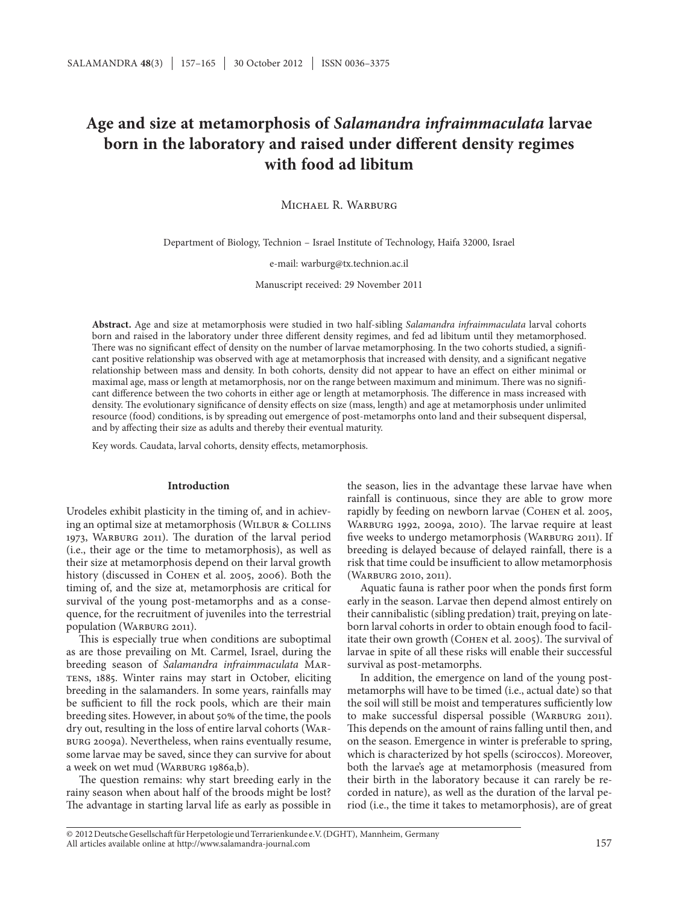# **Age and size at metamorphosis of** *Salamandra infraimmaculata* **larvae born in the laboratory and raised under different density regimes with food ad libitum**

Michael R. Warburg

Department of Biology, Technion – Israel Institute of Technology, Haifa 32000, Israel

e-mail: warburg@tx.technion.ac.il

Manuscript received: 29 November 2011

**Abstract.** Age and size at metamorphosis were studied in two half-sibling *Salamandra infraimmaculata* larval cohorts born and raised in the laboratory under three different density regimes, and fed ad libitum until they metamorphosed. There was no significant effect of density on the number of larvae metamorphosing. In the two cohorts studied, a significant positive relationship was observed with age at metamorphosis that increased with density, and a significant negative relationship between mass and density. In both cohorts, density did not appear to have an effect on either minimal or maximal age, mass or length at metamorphosis, nor on the range between maximum and minimum. There was no significant difference between the two cohorts in either age or length at metamorphosis. The difference in mass increased with density. The evolutionary significance of density effects on size (mass, length) and age at metamorphosis under unlimited resource (food) conditions, is by spreading out emergence of post-metamorphs onto land and their subsequent dispersal, and by affecting their size as adults and thereby their eventual maturity.

Key words. Caudata, larval cohorts, density effects, metamorphosis.

#### **Introduction**

Urodeles exhibit plasticity in the timing of, and in achieving an optimal size at metamorphosis (WILBUR & COLLINS 1973, Warburg 2011). The duration of the larval period (i.e., their age or the time to metamorphosis), as well as their size at metamorphosis depend on their larval growth history (discussed in Cohen et al. 2005, 2006). Both the timing of, and the size at, metamorphosis are critical for survival of the young post-metamorphs and as a consequence, for the recruitment of juveniles into the terrestrial population (WARBURG 2011).

This is especially true when conditions are suboptimal as are those prevailing on Mt. Carmel, Israel, during the breeding season of *Salamandra infraimmaculata* Mar-TENS, 1885. Winter rains may start in October, eliciting breeding in the salamanders. In some years, rainfalls may be sufficient to fill the rock pools, which are their main breeding sites. However, in about 50% of the time, the pools dry out, resulting in the loss of entire larval cohorts (Warburg 2009a). Nevertheless, when rains eventually resume, some larvae may be saved, since they can survive for about a week on wet mud (WARBURG 1986a,b).

The question remains: why start breeding early in the rainy season when about half of the broods might be lost? The advantage in starting larval life as early as possible in the season, lies in the advantage these larvae have when rainfall is continuous, since they are able to grow more rapidly by feeding on newborn larvae (Cohen et al. 2005, Warburg 1992, 2009a, 2010). The larvae require at least five weeks to undergo metamorphosis (WARBURG 2011). If breeding is delayed because of delayed rainfall, there is a risk that time could be insufficient to allow metamorphosis (Warburg 2010, 2011).

Aquatic fauna is rather poor when the ponds first form early in the season. Larvae then depend almost entirely on their cannibalistic (sibling predation) trait, preying on lateborn larval cohorts in order to obtain enough food to facilitate their own growth (Cohen et al. 2005). The survival of larvae in spite of all these risks will enable their successful survival as post-metamorphs.

In addition, the emergence on land of the young postmetamorphs will have to be timed (i.e., actual date) so that the soil will still be moist and temperatures sufficiently low to make successful dispersal possible (WARBURG 2011). This depends on the amount of rains falling until then, and on the season. Emergence in winter is preferable to spring, which is characterized by hot spells (sciroccos). Moreover, both the larvae's age at metamorphosis (measured from their birth in the laboratory because it can rarely be recorded in nature), as well as the duration of the larval period (i.e., the time it takes to metamorphosis), are of great

All articles available online at http://www.salamandra-journal.com © 2012DeutscheGesellschaftfürHerpetologieundTerrarienkunde e.V.(DGHT), Mannheim, Germany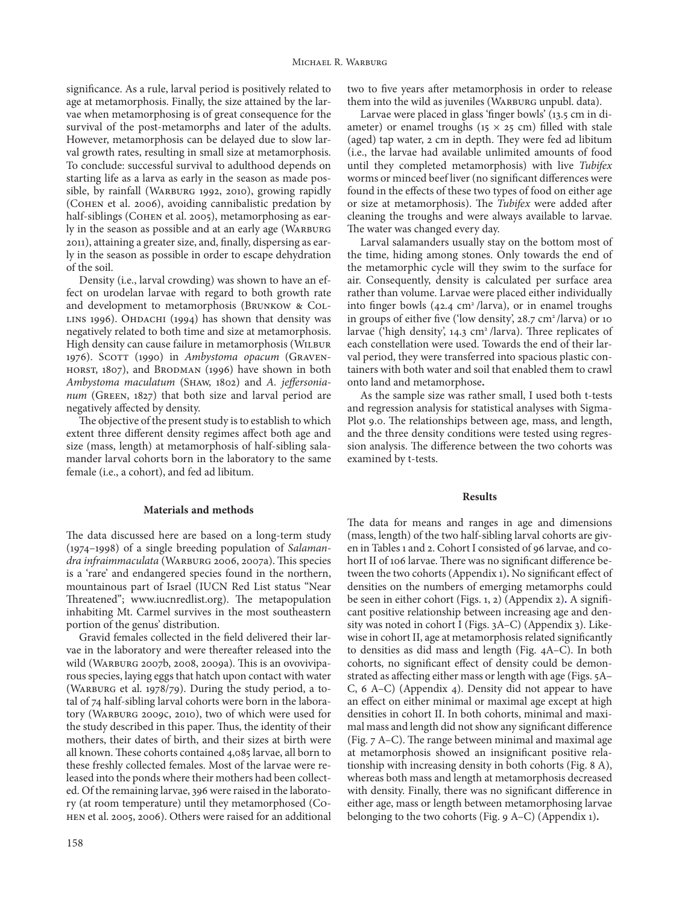significance. As a rule, larval period is positively related to age at metamorphosis. Finally, the size attained by the larvae when metamorphosing is of great consequence for the survival of the post-metamorphs and later of the adults. However, metamorphosis can be delayed due to slow larval growth rates, resulting in small size at metamorphosis. To conclude: successful survival to adulthood depends on starting life as a larva as early in the season as made possible, by rainfall (WARBURG 1992, 2010), growing rapidly (Cohen et al. 2006), avoiding cannibalistic predation by half-siblings (COHEN et al. 2005), metamorphosing as early in the season as possible and at an early age (WARBURG 2011), attaining a greater size, and, finally, dispersing as early in the season as possible in order to escape dehydration of the soil.

Density (i.e., larval crowding) was shown to have an effect on urodelan larvae with regard to both growth rate and development to metamorphosis (Brunkow & Col-LINS 1996). OHDACHI (1994) has shown that density was negatively related to both time and size at metamorphosis. High density can cause failure in metamorphosis (WILBUR 1976). SCOTT (1990) in *Ambystoma opacum* (GRAVEN-HORST, 1807), and BRODMAN (1996) have shown in both *Ambystoma maculatum* (Shaw, 1802) and *A. jeffersonianum* (Green, 1827) that both size and larval period are negatively affected by density.

The objective of the present study is to establish to which extent three different density regimes affect both age and size (mass, length) at metamorphosis of half-sibling salamander larval cohorts born in the laboratory to the same female (i.e., a cohort), and fed ad libitum.

#### **Materials and methods**

The data discussed here are based on a long-term study (1974–1998) of a single breeding population of *Salamandra infraimmaculata* (Warburg 2006, 2007a). This species is a 'rare' and endangered species found in the northern, mountainous part of Israel (IUCN Red List status "Near Threatened"; www.iucnredlist.org). The metapopulation inhabiting Mt. Carmel survives in the most southeastern portion of the genus' distribution.

Gravid females collected in the field delivered their larvae in the laboratory and were thereafter released into the wild (Warburg 2007b, 2008, 2009a). This is an ovoviviparous species, laying eggs that hatch upon contact with water (WARBURG et al. 1978/79). During the study period, a total of 74 half-sibling larval cohorts were born in the laboratory (Warburg 2009c, 2010), two of which were used for the study described in this paper. Thus, the identity of their mothers, their dates of birth, and their sizes at birth were all known. These cohorts contained 4,085 larvae, all born to these freshly collected females. Most of the larvae were released into the ponds where their mothers had been collected. Of the remaining larvae, 396 were raised in the laboratory (at room temperature) until they metamorphosed (Cohen et al. 2005, 2006). Others were raised for an additional two to five years after metamorphosis in order to release them into the wild as juveniles (WARBURG unpubl. data).

Larvae were placed in glass 'finger bowls' (13.5 cm in diameter) or enamel troughs (15  $\times$  25 cm) filled with stale (aged) tap water, 2 cm in depth. They were fed ad libitum (i.e., the larvae had available unlimited amounts of food until they completed metamorphosis) with live *Tubifex*  worms or minced beef liver (no significant differences were found in the effects of these two types of food on either age or size at metamorphosis). The *Tubifex* were added after cleaning the troughs and were always available to larvae. The water was changed every day.

Larval salamanders usually stay on the bottom most of the time, hiding among stones. Only towards the end of the metamorphic cycle will they swim to the surface for air. Consequently, density is calculated per surface area rather than volume. Larvae were placed either individually into finger bowls  $(42.4 \text{ cm}^2/\text{larva})$ , or in enamel troughs in groups of either five ('low density',  $28.7 \text{ cm}^2$  /larva) or 10 larvae ('high density',  $14.3 \text{ cm}^2$  /larva). Three replicates of each constellation were used. Towards the end of their larval period, they were transferred into spacious plastic containers with both water and soil that enabled them to crawl onto land and metamorphose**.**

As the sample size was rather small, I used both t-tests and regression analysis for statistical analyses with Sigma-Plot 9.0. The relationships between age, mass, and length, and the three density conditions were tested using regression analysis. The difference between the two cohorts was examined by t-tests.

#### **Results**

The data for means and ranges in age and dimensions (mass, length) of the two half-sibling larval cohorts are given in Tables 1 and 2. Cohort I consisted of 96 larvae, and cohort II of 106 larvae. There was no significant difference between the two cohorts (Appendix 1)**.** No significant effect of densities on the numbers of emerging metamorphs could be seen in either cohort (Figs. 1, 2) (Appendix 2)**.** A significant positive relationship between increasing age and density was noted in cohort I (Figs. 3A–C) (Appendix 3). Likewise in cohort II, age at metamorphosis related significantly to densities as did mass and length (Fig. 4A–C). In both cohorts, no significant effect of density could be demonstrated as affecting either mass or length with age (Figs. 5A– C, 6 A–C) (Appendix 4). Density did not appear to have an effect on either minimal or maximal age except at high densities in cohort II. In both cohorts, minimal and maximal mass and length did not show any significant difference (Fig. 7 A–C). The range between minimal and maximal age at metamorphosis showed an insignificant positive relationship with increasing density in both cohorts (Fig. 8 A), whereas both mass and length at metamorphosis decreased with density. Finally, there was no significant difference in either age, mass or length between metamorphosing larvae belonging to the two cohorts (Fig. 9 A–C) (Appendix 1)**.**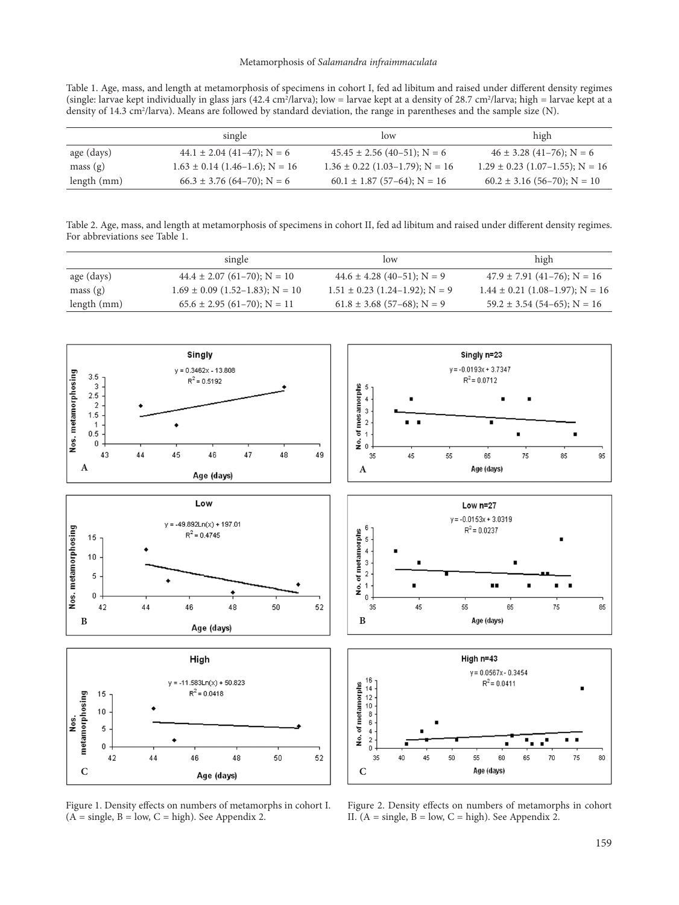Table 1. Age, mass, and length at metamorphosis of specimens in cohort I, fed ad libitum and raised under different density regimes (single: larvae kept individually in glass jars (42.4 cm<sup>2</sup>/larva); low = larvae kept at a density of 28.7 cm<sup>2</sup>/larva; high = larvae kept at a density of 14.3 cm<sup>2</sup>/larva). Means are followed by standard deviation, the range in parentheses and the sample size (N).

|               | single                             | low                                 | high                                |
|---------------|------------------------------------|-------------------------------------|-------------------------------------|
| age (days)    | $44.1 \pm 2.04$ (41-47); N = 6     | $45.45 \pm 2.56$ (40-51); N = 6     | $46 \pm 3.28$ (41-76); N = 6        |
| mass(g)       | $1.63 \pm 0.14$ (1.46–1.6); N = 16 | $1.36 \pm 0.22$ (1.03–1.79); N = 16 | $1.29 \pm 0.23$ (1.07-1.55); N = 16 |
| length $(mm)$ | $66.3 \pm 3.76$ (64-70); N = 6     | $60.1 \pm 1.87$ (57-64); N = 16     | $60.2 \pm 3.16$ (56-70); N = 10     |

Table 2. Age, mass, and length at metamorphosis of specimens in cohort II, fed ad libitum and raised under different density regimes. For abbreviations see Table 1.

|             | single                              | low                                | high                                |
|-------------|-------------------------------------|------------------------------------|-------------------------------------|
| age (days)  | $44.4 \pm 2.07$ (61-70); N = 10     | $44.6 \pm 4.28$ (40-51); N = 9     | $47.9 \pm 7.91$ (41-76); N = 16     |
| mass(g)     | $1.69 \pm 0.09$ (1.52–1.83); N = 10 | $1.51 \pm 0.23$ (1.24–1.92); N = 9 | $1.44 \pm 0.21$ (1.08–1.97); N = 16 |
| length (mm) | $65.6 \pm 2.95$ (61-70); N = 11     | $61.8 \pm 3.68$ (57–68); N = 9     | $59.2 \pm 3.54$ (54-65); N = 16     |



Figure 1. Density effects on numbers of metamorphs in cohort I.  $(A = single, B = low, C = high)$ . See Appendix 2.

Figure 2. Density effects on numbers of metamorphs in cohort II.  $(A = \text{single}, B = \text{low}, C = \text{high})$ . See Appendix 2.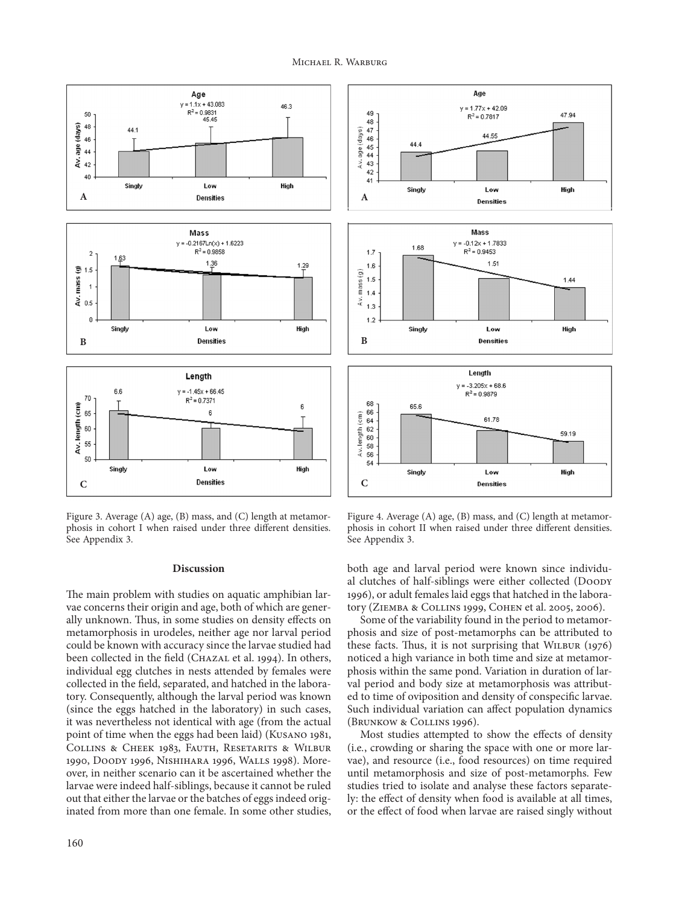

Figure 3. Average (A) age, (B) mass, and (C) length at metamorphosis in cohort I when raised under three different densities. See Appendix 3.

#### **Discussion**

The main problem with studies on aquatic amphibian larvae concerns their origin and age, both of which are generally unknown. Thus, in some studies on density effects on metamorphosis in urodeles, neither age nor larval period could be known with accuracy since the larvae studied had been collected in the field (CHAZAL et al. 1994). In others, individual egg clutches in nests attended by females were collected in the field, separated, and hatched in the laboratory. Consequently, although the larval period was known (since the eggs hatched in the laboratory) in such cases, it was nevertheless not identical with age (from the actual point of time when the eggs had been laid) (Kusano 1981, Collins & Cheek 1983, Fauth, Resetarits & Wilbur 1990, Doody 1996, Nishihara 1996, Walls 1998). Moreover, in neither scenario can it be ascertained whether the larvae were indeed half-siblings, because it cannot be ruled out that either the larvae or the batches of eggs indeed originated from more than one female. In some other studies,



Figure 4. Average (A) age, (B) mass, and (C) length at metamorphosis in cohort II when raised under three different densities. See Appendix 3.

both age and larval period were known since individual clutches of half-siblings were either collected (Doody 1996), or adult females laid eggs that hatched in the laboratory (Ziemba & Collins 1999, Cohen et al. 2005, 2006).

Some of the variability found in the period to metamorphosis and size of post-metamorphs can be attributed to these facts. Thus, it is not surprising that Wilbur (1976) noticed a high variance in both time and size at metamorphosis within the same pond. Variation in duration of larval period and body size at metamorphosis was attributed to time of oviposition and density of conspecific larvae. Such individual variation can affect population dynamics (Brunkow & Collins 1996).

Most studies attempted to show the effects of density (i.e*.*, crowding or sharing the space with one or more larvae), and resource (i.e., food resources) on time required until metamorphosis and size of post-metamorphs. Few studies tried to isolate and analyse these factors separately: the effect of density when food is available at all times, or the effect of food when larvae are raised singly without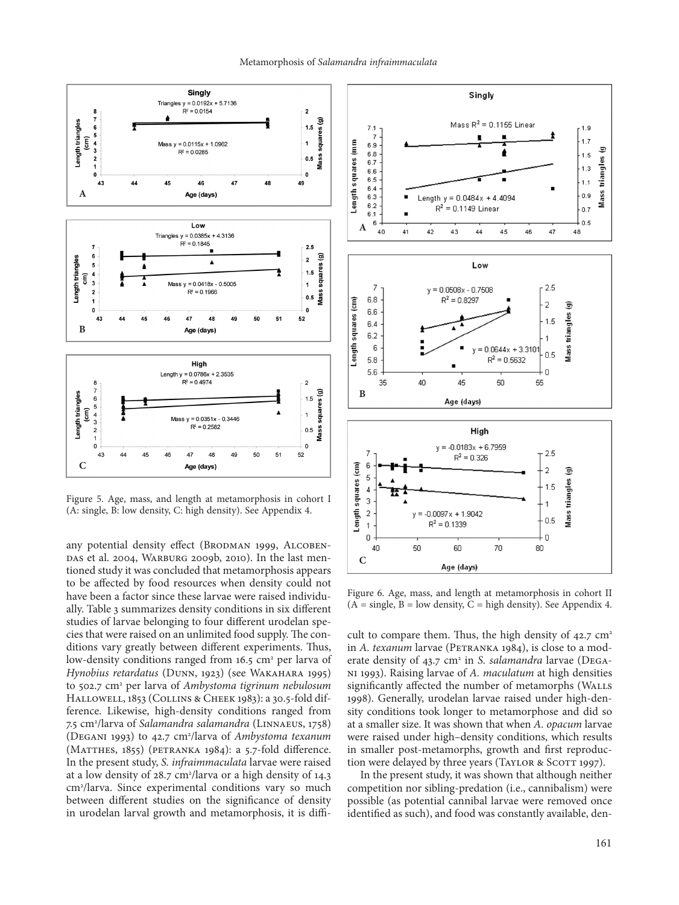

Figure 5. Age, mass, and length at metamorphosis in cohort I (A: single, B: low density, C: high density). See Appendix 4.

any potential density effect (BRODMAN 1999, ALCOBEN-DAS et al. 2004, WARBURG 2009b, 2010). In the last mentioned study it was concluded that metamorphosis appears to be affected by food resources when density could not have been a factor since these larvae were raised individually. Table 3 summarizes density conditions in six different studies of larvae belonging to four different urodelan species that were raised on an unlimited food supply. The conditions vary greatly between different experiments. Thus, low-density conditions ranged from 16.5 cm<sup>2</sup> per larva of *Hynobius retardatus* (Dunn, 1923) (see Wakahara 1995) to 502.7 cm2 per larva of *Ambystoma tigrinum nebulosum* Hallowell, 1853 (Collins & Cheek 1983): a 30.5-fold difference. Likewise, high-density conditions ranged from 7.5 cm2 /larva of *Salamandra salamandra* (Linnaeus, 1758) (Degani 1993) to 42.7 cm2 /larva of *Ambystoma texanum* (MATTHES, 1855) (PETRANKA 1984): a 5.7-fold difference. In the present study, *S. infraimmaculata* larvae were raised at a low density of 28.7 cm<sup>2</sup>/larva or a high density of 14.3 cm2 /larva. Since experimental conditions vary so much between different studies on the significance of density in urodelan larval growth and metamorphosis, it is diffi-



Figure 6. Age, mass, and length at metamorphosis in cohort II  $(A = single, B = low density, C = high density)$ . See Appendix 4.

cult to compare them. Thus, the high density of  $42.7 \text{ cm}^2$ in *A. texanum* larvae (PETRANKA 1984), is close to a moderate density of 43.7 cm<sup>2</sup> in *S. salamandra* larvae (DEGAni 1993). Raising larvae of *A. maculatum* at high densities significantly affected the number of metamorphs (WALLS 1998). Generally, urodelan larvae raised under high-density conditions took longer to metamorphose and did so at a smaller size. It was shown that when *A. opacum* larvae were raised under high–density conditions, which results in smaller post-metamorphs, growth and first reproduction were delayed by three years (TAYLOR & SCOTT 1997).

In the present study, it was shown that although neither competition nor sibling-predation (i.e., cannibalism) were possible (as potential cannibal larvae were removed once identified as such), and food was constantly available, den-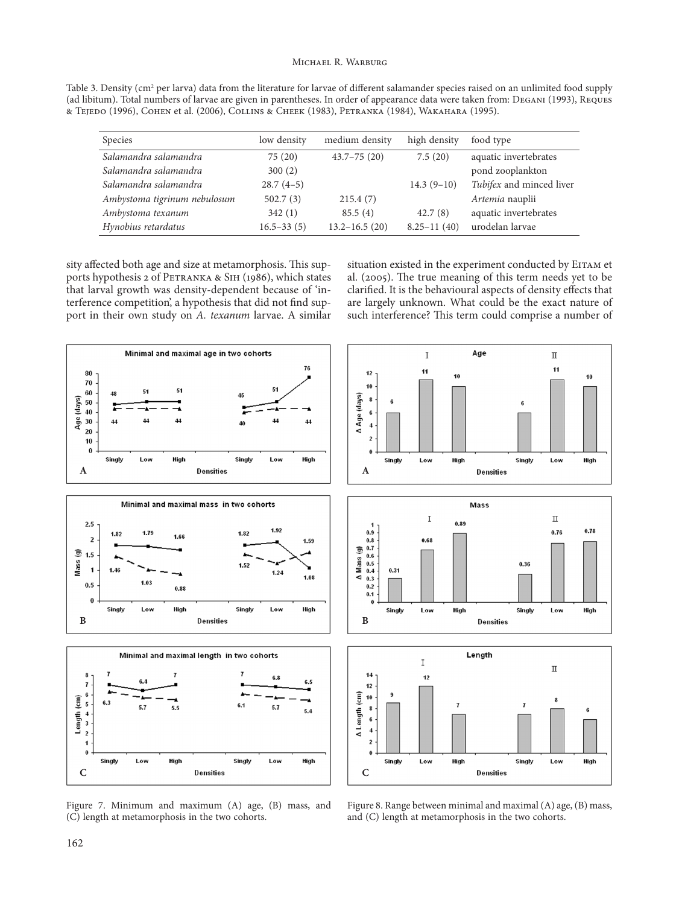Table 3. Density (cm<sup>2</sup> per larva) data from the literature for larvae of different salamander species raised on an unlimited food supply (ad libitum). Total numbers of larvae are given in parentheses. In order of appearance data were taken from: Degani (1993), Reques & Tejedo (1996), Cohen et al. (2006), Collins & Cheek (1983), Petranka (1984), Wakahara (1995).

| <b>Species</b>               | low density    | medium density    | high density    | food type                |
|------------------------------|----------------|-------------------|-----------------|--------------------------|
| Salamandra salamandra        | 75(20)         | $43.7 - 75(20)$   | 7.5(20)         | aquatic invertebrates    |
| Salamandra salamandra        | 300(2)         |                   |                 | pond zooplankton         |
| Salamandra salamandra        | $28.7(4-5)$    |                   | $14.3(9-10)$    | Tubifex and minced liver |
| Ambystoma tigrinum nebulosum | 502.7(3)       | 215.4(7)          |                 | Artemia nauplii          |
| Ambystoma texanum            | 342(1)         | 85.5(4)           | 42.7(8)         | aquatic invertebrates    |
| Hynobius retardatus          | $16.5 - 33(5)$ | $13.2 - 16.5(20)$ | $8.25 - 11(40)$ | urodelan larvae          |

sity affected both age and size at metamorphosis. This supports hypothesis 2 of PETRANKA & SIH (1986), which states that larval growth was density-dependent because of 'interference competition', a hypothesis that did not find support in their own study on *A. texanum* larvae. A similar

situation existed in the experiment conducted by EITAM et al. (2005). The true meaning of this term needs yet to be clarified. It is the behavioural aspects of density effects that are largely unknown. What could be the exact nature of such interference? This term could comprise a number of



Figure 7. Minimum and maximum (A) age, (B) mass, and (C) length at metamorphosis in the two cohorts.

Figure 8. Range between minimal and maximal (A) age, (B) mass, and (C) length at metamorphosis in the two cohorts.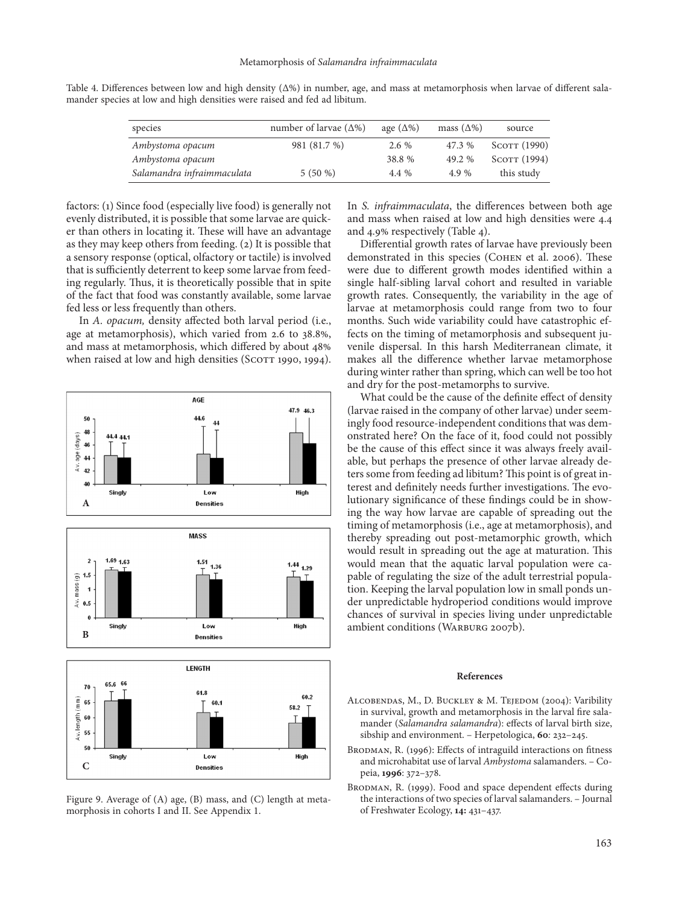| species                    | number of larvae $(\Delta\%)$ | age $(\Delta\%)$ | mass $(\Delta\%)$ | source       |
|----------------------------|-------------------------------|------------------|-------------------|--------------|
| Ambystoma opacum           | 981 (81.7 %)                  | $2.6\%$          | 47.3 %            | SCOTT (1990) |
| Ambystoma opacum           |                               | 38.8 %           | 49.2 %            | SCOTT (1994) |
| Salamandra infraimmaculata | $5(50\%)$                     | 4.4 %            | 4.9%              | this study   |

Table 4. Differences between low and high density (Δ%) in number, age, and mass at metamorphosis when larvae of different salamander species at low and high densities were raised and fed ad libitum.

factors: (1) Since food (especially live food) is generally not evenly distributed, it is possible that some larvae are quicker than others in locating it. These will have an advantage as they may keep others from feeding. (2) It is possible that a sensory response (optical, olfactory or tactile) is involved that is sufficiently deterrent to keep some larvae from feeding regularly. Thus, it is theoretically possible that in spite of the fact that food was constantly available, some larvae fed less or less frequently than others.

In *A. opacum,* density affected both larval period (i.e., age at metamorphosis), which varied from 2.6 to 38.8%, and mass at metamorphosis, which differed by about 48% when raised at low and high densities (SCOTT 1990, 1994).



Figure 9. Average of (A) age, (B) mass, and (C) length at metamorphosis in cohorts I and II. See Appendix 1.

In *S. infraimmaculata*, the differences between both age and mass when raised at low and high densities were 4.4 and 4.9% respectively (Table 4).

Differential growth rates of larvae have previously been demonstrated in this species (Cohen et al. 2006). These were due to different growth modes identified within a single half-sibling larval cohort and resulted in variable growth rates. Consequently, the variability in the age of larvae at metamorphosis could range from two to four months. Such wide variability could have catastrophic effects on the timing of metamorphosis and subsequent juvenile dispersal. In this harsh Mediterranean climate, it makes all the difference whether larvae metamorphose during winter rather than spring, which can well be too hot and dry for the post-metamorphs to survive.

What could be the cause of the definite effect of density (larvae raised in the company of other larvae) under seemingly food resource-independent conditions that was demonstrated here? On the face of it, food could not possibly be the cause of this effect since it was always freely available, but perhaps the presence of other larvae already deters some from feeding ad libitum? This point is of great interest and definitely needs further investigations. The evolutionary significance of these findings could be in showing the way how larvae are capable of spreading out the timing of metamorphosis (i.e., age at metamorphosis), and thereby spreading out post-metamorphic growth, which would result in spreading out the age at maturation. This would mean that the aquatic larval population were capable of regulating the size of the adult terrestrial population. Keeping the larval population low in small ponds under unpredictable hydroperiod conditions would improve chances of survival in species living under unpredictable ambient conditions (WARBURG 2007b).

#### **References**

- ALCOBENDAS, M., D. BUCKLEY & M. TEJEDOM (2004): Varibility in survival, growth and metamorphosis in the larval fire salamander (*Salamandra salamandra*): effects of larval birth size, sibship and environment. – Herpetologica, **60***:* 232–245.
- BRODMAN, R. (1996): Effects of intraguild interactions on fitness and microhabitat use of larval *Ambystoma* salamanders. – Copeia, **1996**: 372–378.
- BRODMAN, R. (1999). Food and space dependent effects during the interactions of two species of larval salamanders. – Journal of Freshwater Ecology, **14:** 431–437.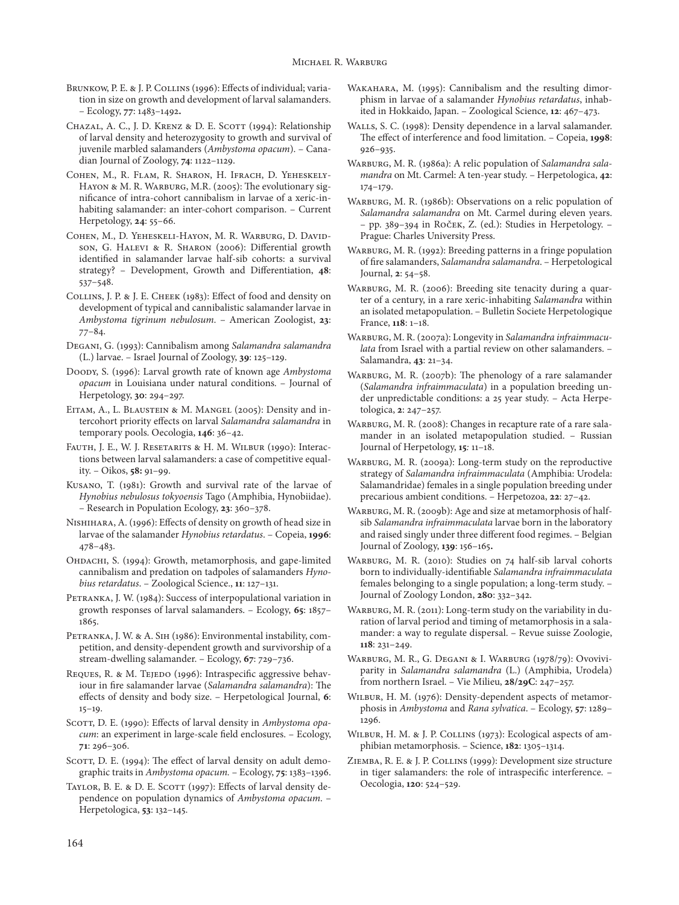- BRUNKOW, P. E. & J. P. COLLINS (1996): Effects of individual; variation in size on growth and development of larval salamanders. – Ecology, **77**: 1483–1492**.**
- CHAZAL, A. C., J. D. KRENZ & D. E. SCOTT (1994): Relationship of larval density and heterozygosity to growth and survival of juvenile marbled salamanders (*Ambystoma opacum*). – Canadian Journal of Zoology, **74**: 1122–1129.
- Cohen, M., R. Flam, R. Sharon, H. Ifrach, D. Yeheskely-Hayon & M. R. Warburg, M.R. (2005): The evolutionary significance of intra-cohort cannibalism in larvae of a xeric-inhabiting salamander: an inter-cohort comparison. – Current Herpetology, **24**: 55–66.
- Cohen, M., D. Yeheskeli-Hayon, M. R. Warburg, D. Davidson, G. Halevi & R. Sharon (2006): Differential growth identified in salamander larvae half-sib cohorts: a survival strategy? – Development, Growth and Differentiation, **48**: 537–548.
- Collins, J. P. & J. E. Cheek (1983): Effect of food and density on development of typical and cannibalistic salamander larvae in *Ambystoma tigrinum nebulosum*. – American Zoologist, **23**: 77–84.
- Degani, G. (1993): Cannibalism among *Salamandra salamandra* (L.) larvae. – Israel Journal of Zoology, **39**: 125–129.
- Doody, S. (1996): Larval growth rate of known age *Ambystoma opacum* in Louisiana under natural conditions. – Journal of Herpetology, **30**: 294–297.
- EITAM, A., L. BLAUSTEIN & M. MANGEL (2005): Density and intercohort priority effects on larval *Salamandra salamandra* in temporary pools. Oecologia, **146**: 36–42.
- Fauth, J. E., W. J. Resetarits & H. M. Wilbur (1990): Interactions between larval salamanders: a case of competitive equality. – Oikos, **58:** 91–99.
- Kusano, T. (1981): Growth and survival rate of the larvae of *Hynobius nebulosus tokyoensis* Tago (Amphibia, Hynobiidae). – Research in Population Ecology, **23**: 360–378.
- Nishihara, A. (1996): Effects of density on growth of head size in larvae of the salamander *Hynobius retardatus*. – Copeia, **1996**: 478–483.
- Ohdachi, S. (1994): Growth, metamorphosis, and gape-limited cannibalism and predation on tadpoles of salamanders *Hynobius retardatus*. – Zoological Science., **11**: 127–131.
- PETRANKA, J. W. (1984): Success of interpopulational variation in growth responses of larval salamanders. – Ecology, **65**: 1857– 1865.
- PETRANKA, J. W. & A. SIH (1986): Environmental instability, competition, and density-dependent growth and survivorship of a stream-dwelling salamander. – Ecology, **67**: 729–736.
- REQUES, R. & M. TEJEDO (1996): Intraspecific aggressive behaviour in fire salamander larvae (*Salamandra salamandra*): The effects of density and body size. – Herpetological Journal, **6**: 15–19.
- SCOTT, D. E. (1990): Effects of larval density in *Ambystoma opacum*: an experiment in large-scale field enclosures. – Ecology, **71**: 296–306.
- SCOTT, D. E. (1994): The effect of larval density on adult demographic traits in *Ambystoma opacum.* – Ecology, **75**: 1383–1396.
- TAYLOR, B. E. & D. E. SCOTT (1997): Effects of larval density dependence on population dynamics of *Ambystoma opacum*. – Herpetologica, **53**: 132–145.
- Wakahara, M. (1995): Cannibalism and the resulting dimorphism in larvae of a salamander *Hynobius retardatus*, inhabited in Hokkaido, Japan. – Zoological Science, **12**: 467–473.
- Walls, S. C. (1998): Density dependence in a larval salamander. The effect of interference and food limitation. – Copeia, **1998**: 926–935.
- Warburg, M. R. (1986a): A relic population of *Salamandra salamandra* on Mt. Carmel: A ten-year study. – Herpetologica, **42**: 174–179.
- WARBURG, M. R. (1986b): Observations on a relic population of *Salamandra salamandra* on Mt. Carmel during eleven years. – pp. 389–394 in Roček, Z. (ed.): Studies in Herpetology. – Prague: Charles University Press.
- WARBURG, M. R. (1992): Breeding patterns in a fringe population of fire salamanders, *Salamandra salamandra*. – Herpetological Journal, **2**: 54–58.
- WARBURG, M. R. (2006): Breeding site tenacity during a quarter of a century, in a rare xeric-inhabiting *Salamandra* within an isolated metapopulation. – Bulletin Societe Herpetologique France, **118**: 1–18.
- Warburg, M. R. (2007a): Longevity in *Salamandra infraimmaculata* from Israel with a partial review on other salamanders. – Salamandra, **43**: 21–34.
- WARBURG, M. R. (2007b): The phenology of a rare salamander (*Salamandra infraimmaculata*) in a population breeding under unpredictable conditions: a 25 year study. – Acta Herpetologica, **2**: 247–257.
- WARBURG, M. R. (2008): Changes in recapture rate of a rare salamander in an isolated metapopulation studied. – Russian Journal of Herpetology, **15***:* 11–18.
- WARBURG, M. R. (2009a): Long-term study on the reproductive strategy of *Salamandra infraimmaculata* (Amphibia: Urodela: Salamandridae) females in a single population breeding under precarious ambient conditions. – Herpetozoa, **22**: 27–42.
- WARBURG, M. R. (2009b): Age and size at metamorphosis of halfsib *Salamandra infraimmaculata* larvae born in the laboratory and raised singly under three different food regimes. – Belgian Journal of Zoology, **139**: 156–165**.**
- WARBURG, M. R. (2010): Studies on 74 half-sib larval cohorts born to individually-identifiable *Salamandra infraimmaculata*  females belonging to a single population; a long-term study. – Journal of Zoology London, **280**: 332–342.
- WARBURG, M. R. (2011): Long-term study on the variability in duration of larval period and timing of metamorphosis in a salamander: a way to regulate dispersal. – Revue suisse Zoologie, **118**: 231–249.
- Warburg, M. R., G. Degani & I. Warburg (1978/79): Ovoviviparity in *Salamandra salamandra* (L.) (Amphibia, Urodela) from northern Israel. – Vie Milieu, **28/29C**: 247–257.
- Wilbur, H. M. (1976): Density-dependent aspects of metamorphosis in *Ambystoma* and *Rana sylvatica*. – Ecology, **57**: 1289– 1296.
- WILBUR, H. M. & J. P. COLLINS (1973): Ecological aspects of amphibian metamorphosis. – Science, **182**: 1305–1314.
- Ziemba, R. E. & J. P. Collins (1999): Development size structure in tiger salamanders: the role of intraspecific interference. – Oecologia, **120**: 524–529.